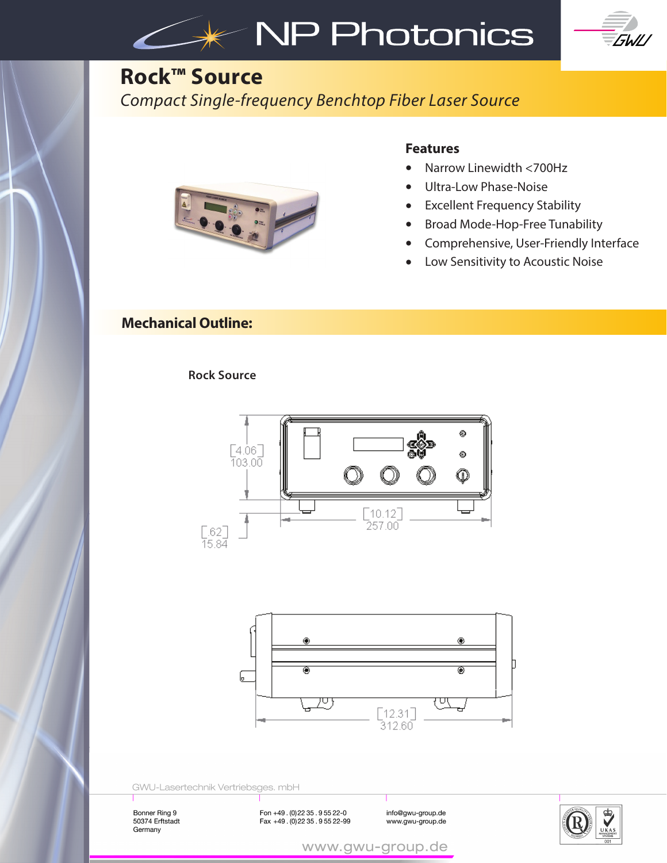



# **Rock™ Source**

*Compact Single-frequency Benchtop Fiber Laser Source*



### **Features**

- Narrow Linewidth <700Hz
- Ultra-Low Phase-Noise
- Excellent Frequency Stability
- Broad Mode-Hop-Free Tunability
- Comprehensive, User-Friendly Interface
- Low Sensitivity to Acoustic Noise

## **Mechanical Outline:**

**Rock Source**





GWU-Lasertechnik Vertriebsges. mbH

Bonner Ring 9 50374 Erftstadt Germany

Fon +49 . (0) 22 35 . 9 55 22-0 **info@gwu-group.de**<br>Fax +49 . (0) 22 35 . 9 55 22-99 www.gwu-group.de



www.gwu-group.de